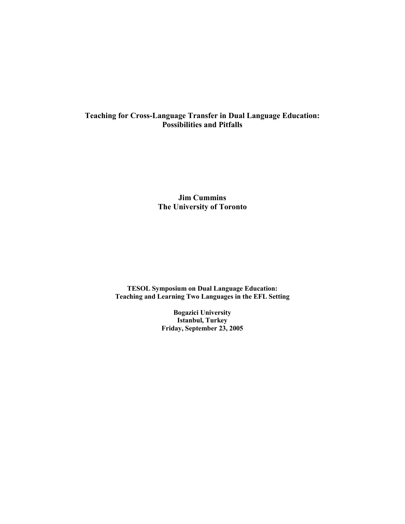## **Teaching for Cross-Language Transfer in Dual Language Education: Possibilities and Pitfalls**

**Jim Cummins The University of Toronto** 

**TESOL Symposium on Dual Language Education: Teaching and Learning Two Languages in the EFL Setting** 

> **Bogazici University Istanbul, Turkey Friday, September 23, 2005**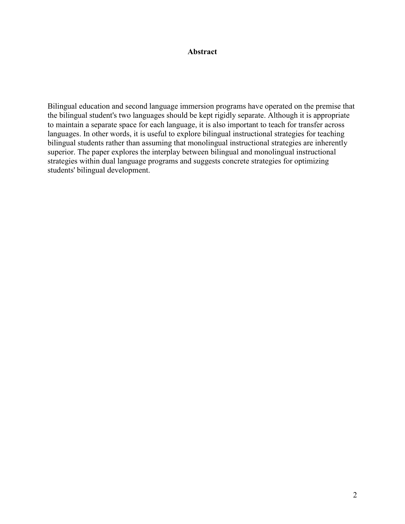### **Abstract**

Bilingual education and second language immersion programs have operated on the premise that the bilingual student's two languages should be kept rigidly separate. Although it is appropriate to maintain a separate space for each language, it is also important to teach for transfer across languages. In other words, it is useful to explore bilingual instructional strategies for teaching bilingual students rather than assuming that monolingual instructional strategies are inherently superior. The paper explores the interplay between bilingual and monolingual instructional strategies within dual language programs and suggests concrete strategies for optimizing students' bilingual development.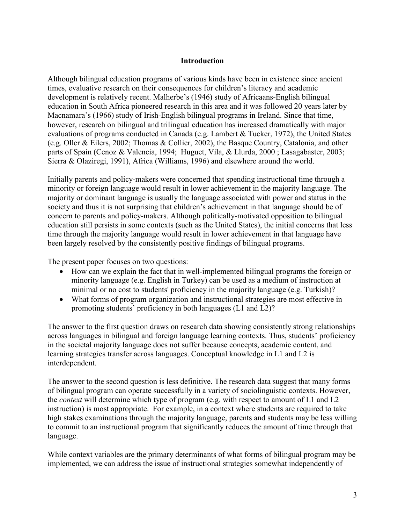## **Introduction**

Although bilingual education programs of various kinds have been in existence since ancient times, evaluative research on their consequences for children's literacy and academic development is relatively recent. Malherbe's (1946) study of Africaans-English bilingual education in South Africa pioneered research in this area and it was followed 20 years later by Macnamara's (1966) study of Irish-English bilingual programs in Ireland. Since that time, however, research on bilingual and trilingual education has increased dramatically with major evaluations of programs conducted in Canada (e.g. Lambert & Tucker, 1972), the United States (e.g. Oller & Eilers, 2002; Thomas & Collier, 2002), the Basque Country, Catalonia, and other parts of Spain (Cenoz & Valencia, 1994; Huguet, Vila, & Llurda, 2000 ; Lasagabaster, 2003; Sierra & Olaziregi, 1991), Africa (Williams, 1996) and elsewhere around the world.

Initially parents and policy-makers were concerned that spending instructional time through a minority or foreign language would result in lower achievement in the majority language. The majority or dominant language is usually the language associated with power and status in the society and thus it is not surprising that children's achievement in that language should be of concern to parents and policy-makers. Although politically-motivated opposition to bilingual education still persists in some contexts (such as the United States), the initial concerns that less time through the majority language would result in lower achievement in that language have been largely resolved by the consistently positive findings of bilingual programs.

The present paper focuses on two questions:

- How can we explain the fact that in well-implemented bilingual programs the foreign or minority language (e.g. English in Turkey) can be used as a medium of instruction at minimal or no cost to students' proficiency in the majority language (e.g. Turkish)?
- What forms of program organization and instructional strategies are most effective in promoting students' proficiency in both languages (L1 and L2)?

The answer to the first question draws on research data showing consistently strong relationships across languages in bilingual and foreign language learning contexts. Thus, students' proficiency in the societal majority language does not suffer because concepts, academic content, and learning strategies transfer across languages. Conceptual knowledge in L1 and L2 is interdependent.

The answer to the second question is less definitive. The research data suggest that many forms of bilingual program can operate successfully in a variety of sociolinguistic contexts. However, the *context* will determine which type of program (e.g. with respect to amount of L1 and L2 instruction) is most appropriate. For example, in a context where students are required to take high stakes examinations through the majority language, parents and students may be less willing to commit to an instructional program that significantly reduces the amount of time through that language.

While context variables are the primary determinants of what forms of bilingual program may be implemented, we can address the issue of instructional strategies somewhat independently of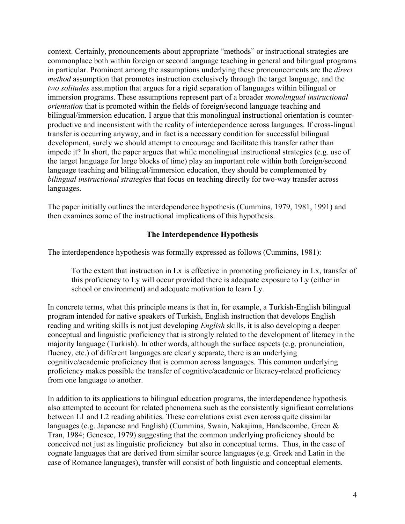context. Certainly, pronouncements about appropriate "methods" or instructional strategies are commonplace both within foreign or second language teaching in general and bilingual programs in particular. Prominent among the assumptions underlying these pronouncements are the *direct method* assumption that promotes instruction exclusively through the target language, and the *two solitudes* assumption that argues for a rigid separation of languages within bilingual or immersion programs. These assumptions represent part of a broader *monolingual instructional orientation* that is promoted within the fields of foreign/second language teaching and bilingual/immersion education. I argue that this monolingual instructional orientation is counterproductive and inconsistent with the reality of interdependence across languages. If cross-lingual transfer is occurring anyway, and in fact is a necessary condition for successful bilingual development, surely we should attempt to encourage and facilitate this transfer rather than impede it? In short, the paper argues that while monolingual instructional strategies (e.g. use of the target language for large blocks of time) play an important role within both foreign/second language teaching and bilingual/immersion education, they should be complemented by *bilingual instructional strategies* that focus on teaching directly for two-way transfer across languages.

The paper initially outlines the interdependence hypothesis (Cummins, 1979, 1981, 1991) and then examines some of the instructional implications of this hypothesis.

### **The Interdependence Hypothesis**

The interdependence hypothesis was formally expressed as follows (Cummins, 1981):

To the extent that instruction in Lx is effective in promoting proficiency in Lx, transfer of this proficiency to Ly will occur provided there is adequate exposure to Ly (either in school or environment) and adequate motivation to learn Ly.

In concrete terms, what this principle means is that in, for example, a Turkish-English bilingual program intended for native speakers of Turkish, English instruction that develops English reading and writing skills is not just developing *English* skills, it is also developing a deeper conceptual and linguistic proficiency that is strongly related to the development of literacy in the majority language (Turkish). In other words, although the surface aspects (e.g. pronunciation, fluency, etc.) of different languages are clearly separate, there is an underlying cognitive/academic proficiency that is common across languages. This common underlying proficiency makes possible the transfer of cognitive/academic or literacy-related proficiency from one language to another.

In addition to its applications to bilingual education programs, the interdependence hypothesis also attempted to account for related phenomena such as the consistently significant correlations between L1 and L2 reading abilities. These correlations exist even across quite dissimilar languages (e.g. Japanese and English) (Cummins, Swain, Nakajima, Handscombe, Green & Tran, 1984; Genesee, 1979) suggesting that the common underlying proficiency should be conceived not just as linguistic proficiency but also in conceptual terms. Thus, in the case of cognate languages that are derived from similar source languages (e.g. Greek and Latin in the case of Romance languages), transfer will consist of both linguistic and conceptual elements.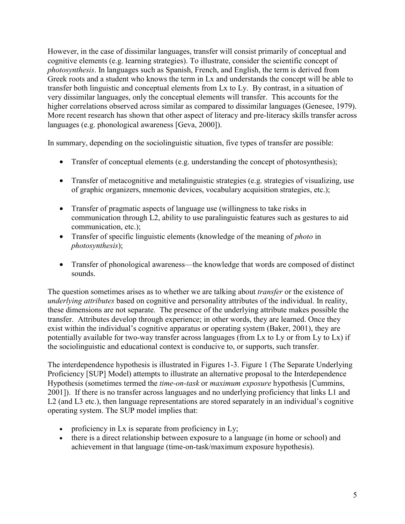However, in the case of dissimilar languages, transfer will consist primarily of conceptual and cognitive elements (e.g. learning strategies). To illustrate, consider the scientific concept of *photosynthesis*. In languages such as Spanish, French, and English, the term is derived from Greek roots and a student who knows the term in Lx and understands the concept will be able to transfer both linguistic and conceptual elements from Lx to Ly. By contrast, in a situation of very dissimilar languages, only the conceptual elements will transfer. This accounts for the higher correlations observed across similar as compared to dissimilar languages (Genesee, 1979). More recent research has shown that other aspect of literacy and pre-literacy skills transfer across languages (e.g. phonological awareness [Geva, 2000]).

In summary, depending on the sociolinguistic situation, five types of transfer are possible:

- Transfer of conceptual elements (e.g. understanding the concept of photosynthesis);
- Transfer of metacognitive and metalinguistic strategies (e.g. strategies of visualizing, use of graphic organizers, mnemonic devices, vocabulary acquisition strategies, etc.);
- Transfer of pragmatic aspects of language use (willingness to take risks in communication through L2, ability to use paralinguistic features such as gestures to aid communication, etc.);
- Transfer of specific linguistic elements (knowledge of the meaning of *photo* in *photosynthesis*);
- Transfer of phonological awareness—the knowledge that words are composed of distinct sounds.

The question sometimes arises as to whether we are talking about *transfer* or the existence of *underlying attributes* based on cognitive and personality attributes of the individual. In reality, these dimensions are not separate. The presence of the underlying attribute makes possible the transfer. Attributes develop through experience; in other words, they are learned. Once they exist within the individual's cognitive apparatus or operating system (Baker, 2001), they are potentially available for two-way transfer across languages (from Lx to Ly or from Ly to Lx) if the sociolinguistic and educational context is conducive to, or supports, such transfer.

The interdependence hypothesis is illustrated in Figures 1-3. Figure 1 (The Separate Underlying Proficiency [SUP] Model) attempts to illustrate an alternative proposal to the Interdependence Hypothesis (sometimes termed the *time-on-task* or *maximum exposure* hypothesis [Cummins, 2001]). If there is no transfer across languages and no underlying proficiency that links L1 and L2 (and L3 etc.), then language representations are stored separately in an individual's cognitive operating system. The SUP model implies that:

- proficiency in Lx is separate from proficiency in Ly;
- there is a direct relationship between exposure to a language (in home or school) and achievement in that language (time-on-task/maximum exposure hypothesis).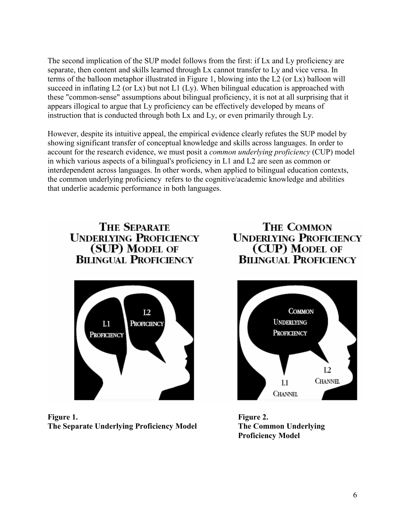The second implication of the SUP model follows from the first: if Lx and Ly proficiency are separate, then content and skills learned through Lx cannot transfer to Ly and vice versa. In terms of the balloon metaphor illustrated in Figure 1, blowing into the L2 (or Lx) balloon will succeed in inflating L2 (or Lx) but not L1  $(Ly)$ . When bilingual education is approached with these "common-sense" assumptions about bilingual proficiency, it is not at all surprising that it appears illogical to argue that Ly proficiency can be effectively developed by means of instruction that is conducted through both Lx and Ly, or even primarily through Ly.

However, despite its intuitive appeal, the empirical evidence clearly refutes the SUP model by showing significant transfer of conceptual knowledge and skills across languages. In order to account for the research evidence, we must posit a *common underlying proficiency* (CUP) model in which various aspects of a bilingual's proficiency in L1 and L2 are seen as common or interdependent across languages. In other words, when applied to bilingual education contexts, the common underlying proficiency refers to the cognitive/academic knowledge and abilities that underlie academic performance in both languages.



Figure 1. Figure 2. **The Separate Underlying Proficiency Model The Common Underlying** 

**THE COMMON UNDERLYING PROFICIENCY** (CUP) MODEL OF **BILINGUAL PROFICIENCY** 



**Proficiency Model**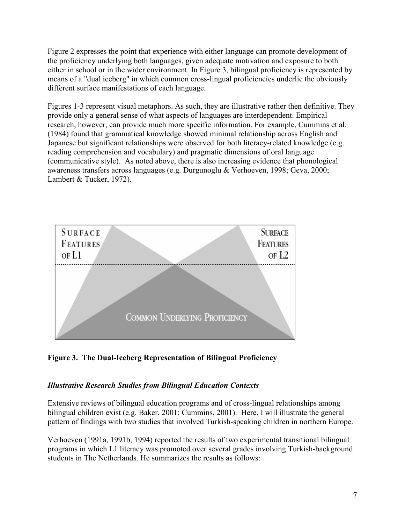Figure 2 expresses the point that experience with either language can promote development of the proficiency underlying both languages, given adequate motivation and exposure to both either in school or in the wider environment. In Figure 3, bilingual proficiency is represented by means of a "dual iceberg" in which common cross-lingual proficiencies underlie the obviously different surface manifestations of each language.

Figures 1-3 represent visual metaphors. As such, they are illustrative rather then definitive. They provide only a general sense of what aspects of languages are interdependent. Empirical research, however, can provide much more specific information. For example, Cummins et al. (1984) found that grammatical knowledge showed minimal relationship across English and Japanese but significant relationships were observed for both literacy-related knowledge (e.g. reading comprehension and vocabulary) and pragmatic dimensions of oral language (communicative style). As noted above, there is also increasing evidence that phonological awareness transfers across languages (e.g. Durgunoglu & Verhoeven, 1998; Geva, 2000; Lambert & Tucker, 1972).



**Figure 3. The Dual-Iceberg Representation of Bilingual Proficiency** 

# *Illustrative Research Studies from Bilingual Education Contexts*

Extensive reviews of bilingual education programs and of cross-lingual relationships among bilingual children exist (e.g. Baker, 2001; Cummins, 2001). Here, I will illustrate the general pattern of findings with two studies that involved Turkish-speaking children in northern Europe.

Verhoeven (1991a, 1991b, 1994) reported the results of two experimental transitional bilingual programs in which L1 literacy was promoted over several grades involving Turkish-background students in The Netherlands. He summarizes the results as follows: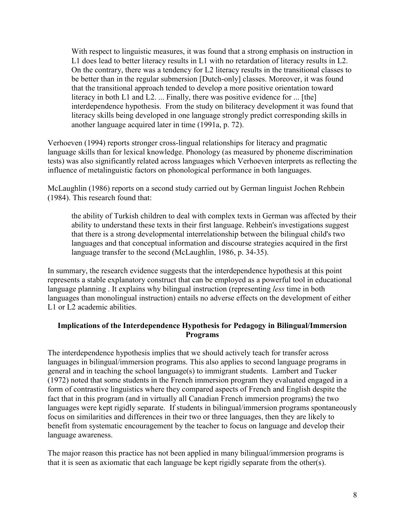With respect to linguistic measures, it was found that a strong emphasis on instruction in L1 does lead to better literacy results in L1 with no retardation of literacy results in L2. On the contrary, there was a tendency for L2 literacy results in the transitional classes to be better than in the regular submersion [Dutch-only] classes. Moreover, it was found that the transitional approach tended to develop a more positive orientation toward literacy in both L1 and L2. ... Finally, there was positive evidence for ... [the] interdependence hypothesis. From the study on biliteracy development it was found that literacy skills being developed in one language strongly predict corresponding skills in another language acquired later in time (1991a, p. 72).

Verhoeven (1994) reports stronger cross-lingual relationships for literacy and pragmatic language skills than for lexical knowledge. Phonology (as measured by phoneme discrimination tests) was also significantly related across languages which Verhoeven interprets as reflecting the influence of metalinguistic factors on phonological performance in both languages.

McLaughlin (1986) reports on a second study carried out by German linguist Jochen Rehbein (1984). This research found that:

the ability of Turkish children to deal with complex texts in German was affected by their ability to understand these texts in their first language. Rehbein's investigations suggest that there is a strong developmental interrelationship between the bilingual child's two languages and that conceptual information and discourse strategies acquired in the first language transfer to the second (McLaughlin, 1986, p. 34-35).

In summary, the research evidence suggests that the interdependence hypothesis at this point represents a stable explanatory construct that can be employed as a powerful tool in educational language planning . It explains why bilingual instruction (representing *less* time in both languages than monolingual instruction) entails no adverse effects on the development of either L<sub>1</sub> or L<sub>2</sub> academic abilities.

## **Implications of the Interdependence Hypothesis for Pedagogy in Bilingual/Immersion Programs**

The interdependence hypothesis implies that we should actively teach for transfer across languages in bilingual/immersion programs. This also applies to second language programs in general and in teaching the school language(s) to immigrant students. Lambert and Tucker (1972) noted that some students in the French immersion program they evaluated engaged in a form of contrastive linguistics where they compared aspects of French and English despite the fact that in this program (and in virtually all Canadian French immersion programs) the two languages were kept rigidly separate. If students in bilingual/immersion programs spontaneously focus on similarities and differences in their two or three languages, then they are likely to benefit from systematic encouragement by the teacher to focus on language and develop their language awareness.

The major reason this practice has not been applied in many bilingual/immersion programs is that it is seen as axiomatic that each language be kept rigidly separate from the other(s).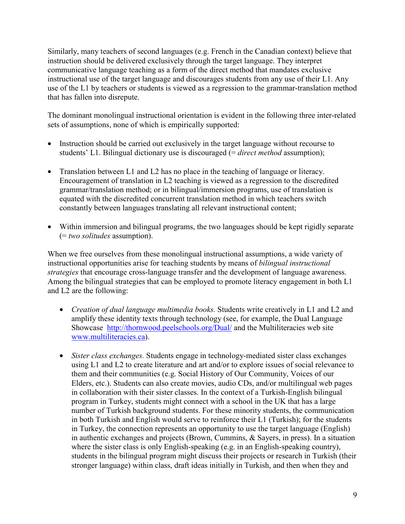Similarly, many teachers of second languages (e.g. French in the Canadian context) believe that instruction should be delivered exclusively through the target language. They interpret communicative language teaching as a form of the direct method that mandates exclusive instructional use of the target language and discourages students from any use of their L1. Any use of the L1 by teachers or students is viewed as a regression to the grammar-translation method that has fallen into disrepute.

The dominant monolingual instructional orientation is evident in the following three inter-related sets of assumptions, none of which is empirically supported:

- Instruction should be carried out exclusively in the target language without recourse to students' L1. Bilingual dictionary use is discouraged (= *direct method* assumption);
- Translation between L1 and L2 has no place in the teaching of language or literacy. Encouragement of translation in L2 teaching is viewed as a regression to the discredited grammar/translation method; or in bilingual/immersion programs, use of translation is equated with the discredited concurrent translation method in which teachers switch constantly between languages translating all relevant instructional content;
- Within immersion and bilingual programs, the two languages should be kept rigidly separate (= *two solitudes* assumption).

When we free ourselves from these monolingual instructional assumptions, a wide variety of instructional opportunities arise for teaching students by means of *bilingual instructional strategies* that encourage cross-language transfer and the development of language awareness. Among the bilingual strategies that can be employed to promote literacy engagement in both L1 and L2 are the following:

- *Creation of dual language multimedia books.* Students write creatively in L1 and L2 and amplify these identity texts through technology (see, for example, the Dual Language Showcase http://thornwood.peelschools.org/Dual/ and the Multiliteracies web site www.multiliteracies.ca).
- *Sister class exchanges.* Students engage in technology-mediated sister class exchanges using L1 and L2 to create literature and art and/or to explore issues of social relevance to them and their communities (e.g. Social History of Our Community, Voices of our Elders, etc.). Students can also create movies, audio CDs, and/or multilingual web pages in collaboration with their sister classes. In the context of a Turkish-English bilingual program in Turkey, students might connect with a school in the UK that has a large number of Turkish background students. For these minority students, the communication in both Turkish and English would serve to reinforce their L1 (Turkish); for the students in Turkey, the connection represents an opportunity to use the target language (English) in authentic exchanges and projects (Brown, Cummins, & Sayers, in press). In a situation where the sister class is only English-speaking (e.g. in an English-speaking country), students in the bilingual program might discuss their projects or research in Turkish (their stronger language) within class, draft ideas initially in Turkish, and then when they and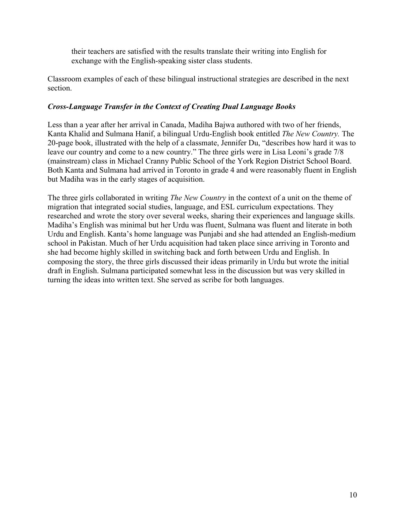their teachers are satisfied with the results translate their writing into English for exchange with the English-speaking sister class students.

Classroom examples of each of these bilingual instructional strategies are described in the next section.

# *Cross-Language Transfer in the Context of Creating Dual Language Books*

Less than a year after her arrival in Canada, Madiha Bajwa authored with two of her friends, Kanta Khalid and Sulmana Hanif, a bilingual Urdu-English book entitled *The New Country.* The 20-page book, illustrated with the help of a classmate, Jennifer Du, "describes how hard it was to leave our country and come to a new country." The three girls were in Lisa Leoni's grade 7/8 (mainstream) class in Michael Cranny Public School of the York Region District School Board. Both Kanta and Sulmana had arrived in Toronto in grade 4 and were reasonably fluent in English but Madiha was in the early stages of acquisition.

The three girls collaborated in writing *The New Country* in the context of a unit on the theme of migration that integrated social studies, language, and ESL curriculum expectations. They researched and wrote the story over several weeks, sharing their experiences and language skills. Madiha's English was minimal but her Urdu was fluent, Sulmana was fluent and literate in both Urdu and English. Kanta's home language was Punjabi and she had attended an English-medium school in Pakistan. Much of her Urdu acquisition had taken place since arriving in Toronto and she had become highly skilled in switching back and forth between Urdu and English. In composing the story, the three girls discussed their ideas primarily in Urdu but wrote the initial draft in English. Sulmana participated somewhat less in the discussion but was very skilled in turning the ideas into written text. She served as scribe for both languages.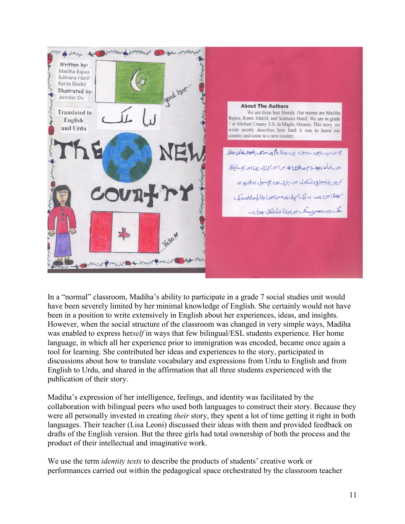

In a "normal" classroom, Madiha's ability to participate in a grade 7 social studies unit would have been severely limited by her minimal knowledge of English. She certainly would not have been in a position to write extensively in English about her experiences, ideas, and insights. However, when the social structure of the classroom was changed in very simple ways, Madiha was enabled to express her*self* in ways that few bilingual/ESL students experience. Her home language, in which all her experience prior to immigration was encoded, became once again a tool for learning. She contributed her ideas and experiences to the story, participated in discussions about how to translate vocabulary and expressions from Urdu to English and from English to Urdu, and shared in the affirmation that all three students experienced with the publication of their story.

Madiha's expression of her intelligence, feelings, and identity was facilitated by the collaboration with bilingual peers who used both languages to construct their story. Because they were all personally invested in creating *their* story, they spent a lot of time getting it right in both languages. Their teacher (Lisa Leoni) discussed their ideas with them and provided feedback on drafts of the English version. But the three girls had total ownership of both the process and the product of their intellectual and imaginative work.

We use the term *identity texts* to describe the products of students' creative work or performances carried out within the pedagogical space orchestrated by the classroom teacher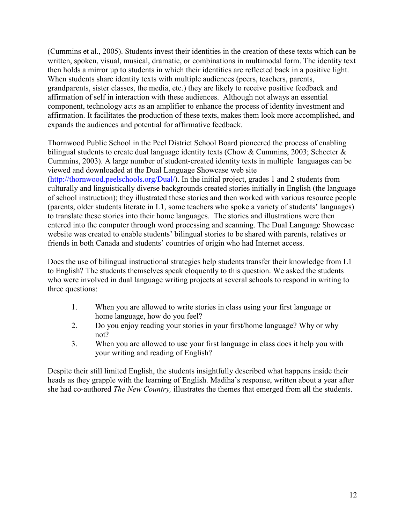(Cummins et al., 2005). Students invest their identities in the creation of these texts which can be written, spoken, visual, musical, dramatic, or combinations in multimodal form. The identity text then holds a mirror up to students in which their identities are reflected back in a positive light. When students share identity texts with multiple audiences (peers, teachers, parents, grandparents, sister classes, the media, etc.) they are likely to receive positive feedback and affirmation of self in interaction with these audiences. Although not always an essential component, technology acts as an amplifier to enhance the process of identity investment and affirmation. It facilitates the production of these texts, makes them look more accomplished, and expands the audiences and potential for affirmative feedback.

Thornwood Public School in the Peel District School Board pioneered the process of enabling bilingual students to create dual language identity texts (Chow & Cummins, 2003; Schecter & Cummins, 2003). A large number of student-created identity texts in multiple languages can be viewed and downloaded at the Dual Language Showcase web site (http://thornwood.peelschools.org/Dual/). In the initial project, grades 1 and 2 students from culturally and linguistically diverse backgrounds created stories initially in English (the language of school instruction); they illustrated these stories and then worked with various resource people (parents, older students literate in L1, some teachers who spoke a variety of students' languages) to translate these stories into their home languages. The stories and illustrations were then entered into the computer through word processing and scanning. The Dual Language Showcase website was created to enable students' bilingual stories to be shared with parents, relatives or friends in both Canada and students' countries of origin who had Internet access.

Does the use of bilingual instructional strategies help students transfer their knowledge from L1 to English? The students themselves speak eloquently to this question. We asked the students who were involved in dual language writing projects at several schools to respond in writing to three questions:

- 1. When you are allowed to write stories in class using your first language or home language, how do you feel?
- 2. Do you enjoy reading your stories in your first/home language? Why or why not?
- 3. When you are allowed to use your first language in class does it help you with your writing and reading of English?

Despite their still limited English, the students insightfully described what happens inside their heads as they grapple with the learning of English. Madiha's response, written about a year after she had co-authored *The New Country,* illustrates the themes that emerged from all the students.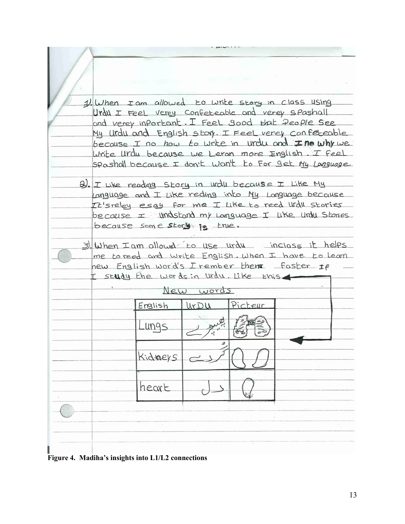1) When I am allowed to write story in class using Urdu I Feel verey Confeteable and verey spashall and verey infortant. I Feel good that feople see My Urdu and English story. I Feel verey confeceable because I no how to write in urdu and I no why we Write Urdu because we Leran more English. I feel spashall because I don't Wan't to For get My Language.  $2.5$   $I$  Like reading Story in urdu because I Like My Language and I Like reding into My Language because It'sreley esay for me I like to reed urdu stories because  $\tau$  undstand my Language I like undu Stories because some story is true. 3) When I am allowed to use urdu inclase it helps me to reed and write English. When I have to Learn new English word's I rember them Faster IF I study the words in urdu. Like this New words Pirteur English UrDU ungs Kidgeys heart

**Figure 4. Madiha's insights into L1/L2 connections**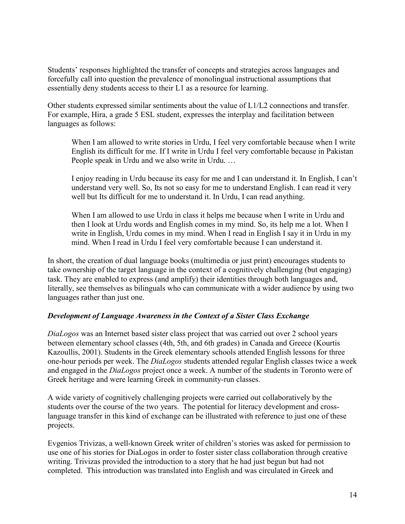Students' responses highlighted the transfer of concepts and strategies across languages and forcefully call into question the prevalence of monolingual instructional assumptions that essentially deny students access to their L1 as a resource for learning.

Other students expressed similar sentiments about the value of L1/L2 connections and transfer. For example, Hira, a grade 5 ESL student, expresses the interplay and facilitation between languages as follows:

When I am allowed to write stories in Urdu, I feel very comfortable because when I write English its difficult for me. If I write in Urdu I feel very comfortable because in Pakistan People speak in Urdu and we also write in Urdu. …

I enjoy reading in Urdu because its easy for me and I can understand it. In English, I can't understand very well. So, Its not so easy for me to understand English. I can read it very well but Its difficult for me to understand it. In Urdu, I can read anything.

When I am allowed to use Urdu in class it helps me because when I write in Urdu and then I look at Urdu words and English comes in my mind. So, its help me a lot. When I write in English, Urdu comes in my mind. When I read in English I say it in Urdu in my mind. When I read in Urdu I feel very comfortable because I can understand it.

In short, the creation of dual language books (multimedia or just print) encourages students to take ownership of the target language in the context of a cognitively challenging (but engaging) task. They are enabled to express (and amplify) their identities through both languages and, literally, see themselves as bilinguals who can communicate with a wider audience by using two languages rather than just one.

## *Development of Language Awareness in the Context of a Sister Class Exchange*

*DiaLogos* was an Internet based sister class project that was carried out over 2 school years between elementary school classes (4th, 5th, and 6th grades) in Canada and Greece (Kourtis Kazoullis, 2001). Students in the Greek elementary schools attended English lessons for three one-hour periods per week. The *DiaLogos* students attended regular English classes twice a week and engaged in the *DiaLogos* project once a week. A number of the students in Toronto were of Greek heritage and were learning Greek in community-run classes.

A wide variety of cognitively challenging projects were carried out collaboratively by the students over the course of the two years. The potential for literacy development and crosslanguage transfer in this kind of exchange can be illustrated with reference to just one of these projects.

Evgenios Trivizas, a well-known Greek writer of children's stories was asked for permission to use one of his stories for DiaLogos in order to foster sister class collaboration through creative writing. Trivizas provided the introduction to a story that he had just begun but had not completed. This introduction was translated into English and was circulated in Greek and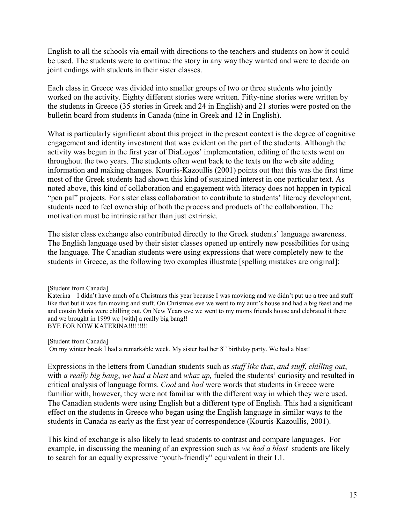English to all the schools via email with directions to the teachers and students on how it could be used. The students were to continue the story in any way they wanted and were to decide on joint endings with students in their sister classes.

Each class in Greece was divided into smaller groups of two or three students who jointly worked on the activity. Eighty different stories were written. Fifty-nine stories were written by the students in Greece (35 stories in Greek and 24 in English) and 21 stories were posted on the bulletin board from students in Canada (nine in Greek and 12 in English).

What is particularly significant about this project in the present context is the degree of cognitive engagement and identity investment that was evident on the part of the students. Although the activity was begun in the first year of DiaLogos' implementation, editing of the texts went on throughout the two years. The students often went back to the texts on the web site adding information and making changes. Kourtis-Kazoullis (2001) points out that this was the first time most of the Greek students had shown this kind of sustained interest in one particular text. As noted above, this kind of collaboration and engagement with literacy does not happen in typical "pen pal" projects. For sister class collaboration to contribute to students' literacy development, students need to feel ownership of both the process and products of the collaboration. The motivation must be intrinsic rather than just extrinsic.

The sister class exchange also contributed directly to the Greek students' language awareness. The English language used by their sister classes opened up entirely new possibilities for using the language. The Canadian students were using expressions that were completely new to the students in Greece, as the following two examples illustrate [spelling mistakes are original]:

[Student from Canada]

Katerina – I didn't have much of a Christmas this year because I was moviong and we didn't put up a tree and stuff like that but it was fun moving and stuff. On Christmas eve we went to my aunt's house and had a big feast and me and cousin Maria were chilling out. On New Years eve we went to my moms friends house and clebrated it there and we brought in 1999 we [with] a really big bang!! BYE FOR NOW KATERINA!!!!!!!!!

[Student from Canada] On my winter break I had a remarkable week. My sister had her  $8<sup>th</sup>$  birthday party. We had a blast!

Expressions in the letters from Canadian students such as *stuff like that*, *and stuff*, *chilling out*, with *a really big bang*, *we had a blast* and *whaz up,* fueled the students' curiosity and resulted in critical analysis of language forms. *Cool* and *bad* were words that students in Greece were familiar with, however, they were not familiar with the different way in which they were used. The Canadian students were using English but a different type of English. This had a significant effect on the students in Greece who began using the English language in similar ways to the students in Canada as early as the first year of correspondence (Kourtis-Kazoullis, 2001).

This kind of exchange is also likely to lead students to contrast and compare languages. For example, in discussing the meaning of an expression such as *we had a blast* students are likely to search for an equally expressive "youth-friendly" equivalent in their L1.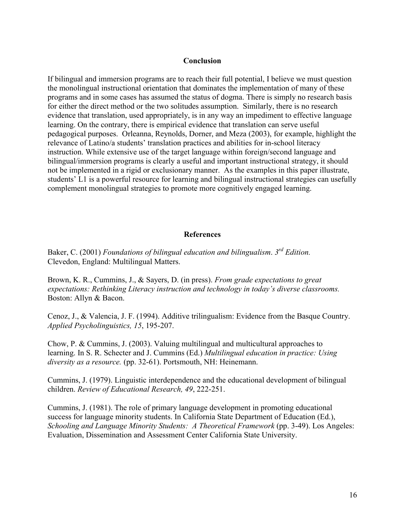### **Conclusion**

If bilingual and immersion programs are to reach their full potential, I believe we must question the monolingual instructional orientation that dominates the implementation of many of these programs and in some cases has assumed the status of dogma. There is simply no research basis for either the direct method or the two solitudes assumption. Similarly, there is no research evidence that translation, used appropriately, is in any way an impediment to effective language learning. On the contrary, there is empirical evidence that translation can serve useful pedagogical purposes. Orleanna, Reynolds, Dorner, and Meza (2003), for example, highlight the relevance of Latino/a students' translation practices and abilities for in-school literacy instruction. While extensive use of the target language within foreign/second language and bilingual/immersion programs is clearly a useful and important instructional strategy, it should not be implemented in a rigid or exclusionary manner. As the examples in this paper illustrate, students' L1 is a powerful resource for learning and bilingual instructional strategies can usefully complement monolingual strategies to promote more cognitively engaged learning.

#### **References**

Baker, C. (2001) *Foundations of bilingual education and bilingualism*. *3rd Edition.* Clevedon, England: Multilingual Matters.

Brown, K. R., Cummins, J., & Sayers, D. (in press). *From grade expectations to great expectations: Rethinking Literacy instruction and technology in today's diverse classrooms.*  Boston: Allyn & Bacon.

Cenoz, J., & Valencia, J. F. (1994). Additive trilingualism: Evidence from the Basque Country. *Applied Psycholinguistics, 15*, 195-207.

Chow, P. & Cummins, J. (2003). Valuing multilingual and multicultural approaches to learning. In S. R. Schecter and J. Cummins (Ed.) *Multilingual education in practice: Using diversity as a resource.* (pp. 32-61). Portsmouth, NH: Heinemann.

Cummins, J. (1979). Linguistic interdependence and the educational development of bilingual children. *Review of Educational Research, 49*, 222-251.

Cummins, J. (1981). The role of primary language development in promoting educational success for language minority students. In California State Department of Education (Ed.), *Schooling and Language Minority Students: A Theoretical Framework* (pp. 3-49). Los Angeles: Evaluation, Dissemination and Assessment Center California State University.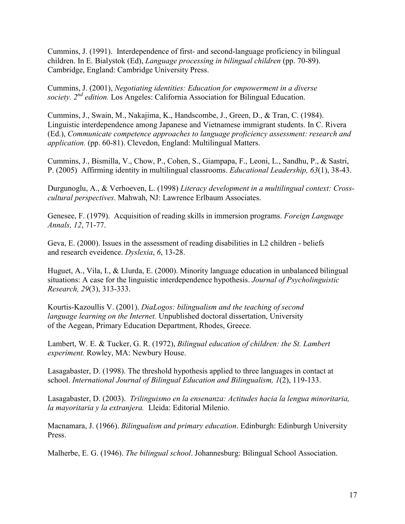Cummins, J. (1991). Interdependence of first- and second-language proficiency in bilingual children. In E. Bialystok (Ed), *Language processing in bilingual children* (pp. 70-89). Cambridge, England: Cambridge University Press.

Cummins, J. (2001), *Negotiating identities: Education for empowerment in a diverse society. 2nd edition.* Los Angeles: California Association for Bilingual Education.

Cummins, J., Swain, M., Nakajima, K., Handscombe, J., Green, D., & Tran, C. (1984). Linguistic interdependence among Japanese and Vietnamese immigrant students. In C. Rivera (Ed.), *Communicate competence approaches to language proficiency assessment: research and application.* (pp. 60-81). Clevedon, England: Multilingual Matters.

Cummins, J., Bismilla, V., Chow, P., Cohen, S., Giampapa, F., Leoni, L., Sandhu, P., & Sastri, P. (2005) Affirming identity in multilingual classrooms. *Educational Leadership, 63*(1), 38-43.

Durgunoglu, A., & Verhoeven, L. (1998) *Literacy development in a multilingual context: Crosscultural perspectives*. Mahwah, NJ: Lawrence Erlbaum Associates.

Genesee, F. (1979). Acquisition of reading skills in immersion programs. *Foreign Language Annals, 12*, 71-77.

Geva, E. (2000). Issues in the assessment of reading disabilities in L2 children - beliefs and research eveidence. *Dyslexia*, *6*, 13-28.

Huguet, A., Vila, I., & Llurda, E. (2000). Minority language education in unbalanced bilingual situations: A case for the linguistic interdependence hypothesis. *Journal of Psycholinguistic Research, 29*(3), 313-333.

Kourtis-Kazoullis V. (2001). *DiaLogos: bilingualism and the teaching of second language learning on the Internet.* Unpublished doctoral dissertation, University of the Aegean, Primary Education Department, Rhodes, Greece.

Lambert, W. E. & Tucker, G. R. (1972), *Bilingual education of children: the St. Lambert experiment.* Rowley, MA: Newbury House.

Lasagabaster, D. (1998). The threshold hypothesis applied to three languages in contact at school. *International Journal of Bilingual Education and Bilingualism, 1*(2), 119-133.

Lasagabaster, D. (2003). *Trilinguismo en la ensenanza: Actitudes hacia la lengua minoritaria, la mayoritaria y la extranjera.* Lleida: Editorial Milenio.

Macnamara, J. (1966). *Bilingualism and primary education*. Edinburgh: Edinburgh University Press.

Malherbe, E. G. (1946). *The bilingual school*. Johannesburg: Bilingual School Association.